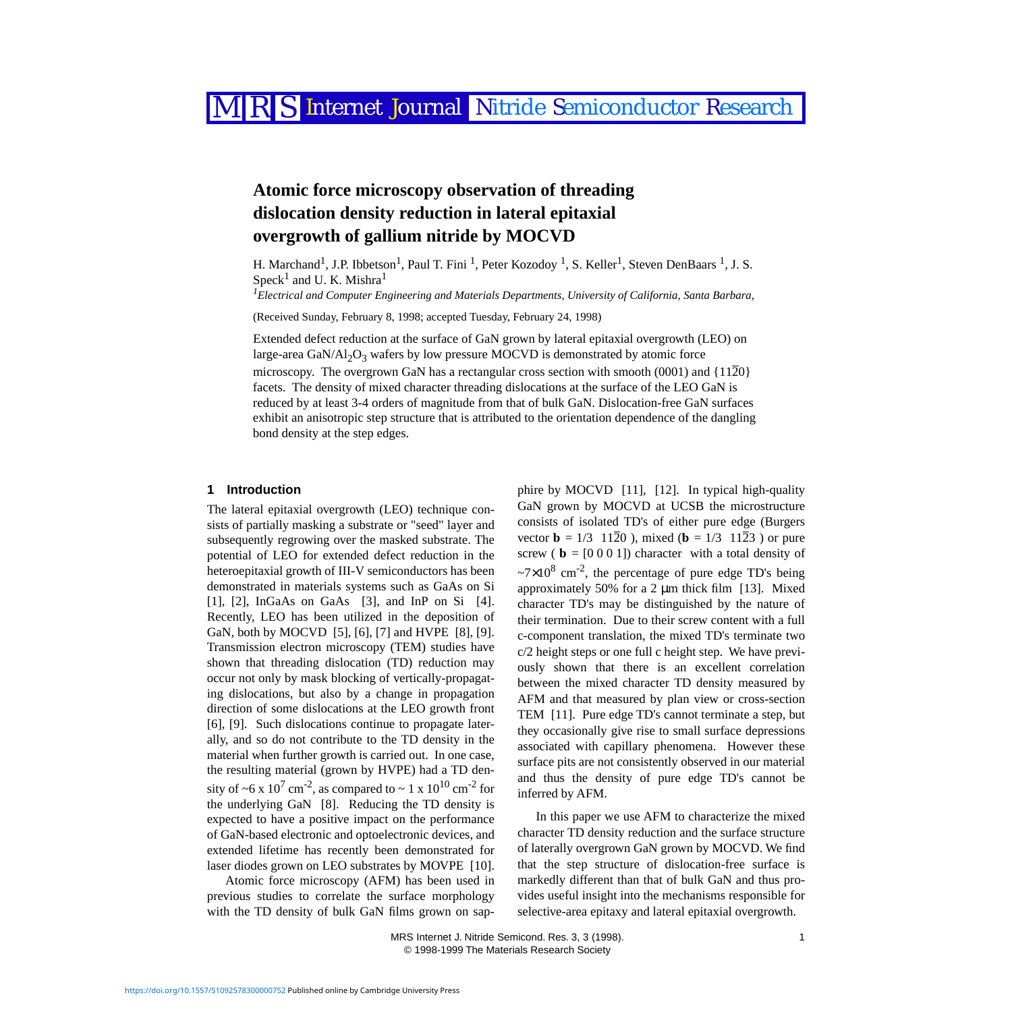# RS Internet Journal Nitride Semiconductor Research

## **Atomic force microscopy observation of threading dislocation density reduction in lateral epitaxial overgrowth of gallium nitride by MOCVD**

H. Marchand<sup>1</sup>, J.P. Ibbetson<sup>1</sup>, Paul T. Fini<sup>1</sup>, Peter Kozodoy<sup>1</sup>, S. Keller<sup>1</sup>, Steven DenBaars<sup>1</sup>, J. S.  $Speck<sup>1</sup>$  $Speck<sup>1</sup>$  $Speck<sup>1</sup>$  and U. K. Mishra<sup>1</sup>

<span id="page-0-0"></span>*1 Electrical and Computer Engineering and Materials Departments, University of California, Santa Barbara,* 

(Received Sunday, February 8, 1998; accepted Tuesday, February 24, 1998)

Extended defect reduction at the surface of GaN grown by lateral epitaxial overgrowth (LEO) on large-area GaN/Al<sub>2</sub>O<sub>3</sub> wafers by low pressure MOCVD is demonstrated by atomic force microscopy. The overgrown GaN has a rectangular cross section with smooth  $(0001)$  and  $\{11\overline{2}0\}$ facets. The density of mixed character threading dislocations at the surface of the LEO GaN is reduced by at least 3-4 orders of magnitude from that of bulk GaN. Dislocation-free GaN surfaces exhibit an anisotropic step structure that is attributed to the orientation dependence of the dangling bond density at the step edges.

#### **1 Introduction**

The lateral epitaxial overgrowth (LEO) technique consists of partially masking a substrate or "seed" layer and subsequently regrowing over the masked substrate. The potential of LEO for extended defect reduction in the heteroepitaxial growth of III-V semiconductors has been demonstrated in materials systems such as GaAs on Si [\[1\],](#page-2-0) [\[2\],](#page-2-1) InGaAs on GaAs [\[3\],](#page-2-2) and InP on Si [\[4\]](#page-2-3). Recently, LEO has been utilized in the deposition of GaN, both by MOCVD [\[5\]](#page-2-4), [\[6\]](#page-2-5), [\[7\]](#page-2-6) and HVPE [\[8\],](#page-2-7) [\[9\]](#page-2-8). Transmission electron microscopy (TEM) studies have shown that threading dislocation (TD) reduction may occur not only by mask blocking of vertically-propagating dislocations, but also by a change in propagation direction of some dislocations at the LEO growth front [\[6\],](#page-2-5) [\[9\]](#page-2-8). Such dislocations continue to propagate laterally, and so do not contribute to the TD density in the material when further growth is carried out. In one case, the resulting material (grown by HVPE) had a TD density of ~6 x 10<sup>7</sup> cm<sup>-2</sup>, as compared to ~ 1 x 10<sup>10</sup> cm<sup>-2</sup> for the underlying GaN [\[8\].](#page-2-7) Reducing the TD density is expected to have a positive impact on the performance of GaN-based electronic and optoelectronic devices, and extended lifetime has recently been demonstrated for laser diodes grown on LEO substrates by MOVPE [\[10\]](#page-2-9).

Atomic force microscopy (AFM) has been used in previous studies to correlate the surface morphology with the TD density of bulk GaN films grown on sapphire by MOCVD [\[11\]](#page-2-10), [\[12\]](#page-2-11). In typical high-quality GaN grown by MOCVD at UCSB the microstructure consists of isolated TD's of either pure edge (Burgers vector **b** =  $1/3 \langle 11\overline{2}0 \rangle$ , mixed (**b** =  $1/3 \langle 11\overline{2}3 \rangle$ ) or pure screw ( $\mathbf{b} = [0 \ 0 \ 0 \ 1]$ ) character with a total density of  $\approx 7 \times 10^8$  cm<sup>-2</sup>, the percentage of pure edge TD's being approximately 50% for a 2  $\mu$ m thick film [\[13\].](#page-2-12) Mixed character TD's may be distinguished by the nature of their termination. Due to their screw content with a full c-component translation, the mixed TD's terminate two c/2 height steps or one full c height step. We have previously shown that there is an excellent correlation between the mixed character TD density measured by AFM and that measured by plan view or cross-section TEM [\[11\].](#page-2-10) Pure edge TD's cannot terminate a step, but they occasionally give rise to small surface depressions associated with capillary phenomena. However these surface pits are not consistently observed in our material and thus the density of pure edge TD's cannot be inferred by AFM.

In this paper we use AFM to characterize the mixed character TD density reduction and the surface structure of laterally overgrown GaN grown by MOCVD. We find that the step structure of dislocation-free surface is markedly different than that of bulk GaN and thus provides useful insight into the mechanisms responsible for selective-area epitaxy and lateral epitaxial overgrowth.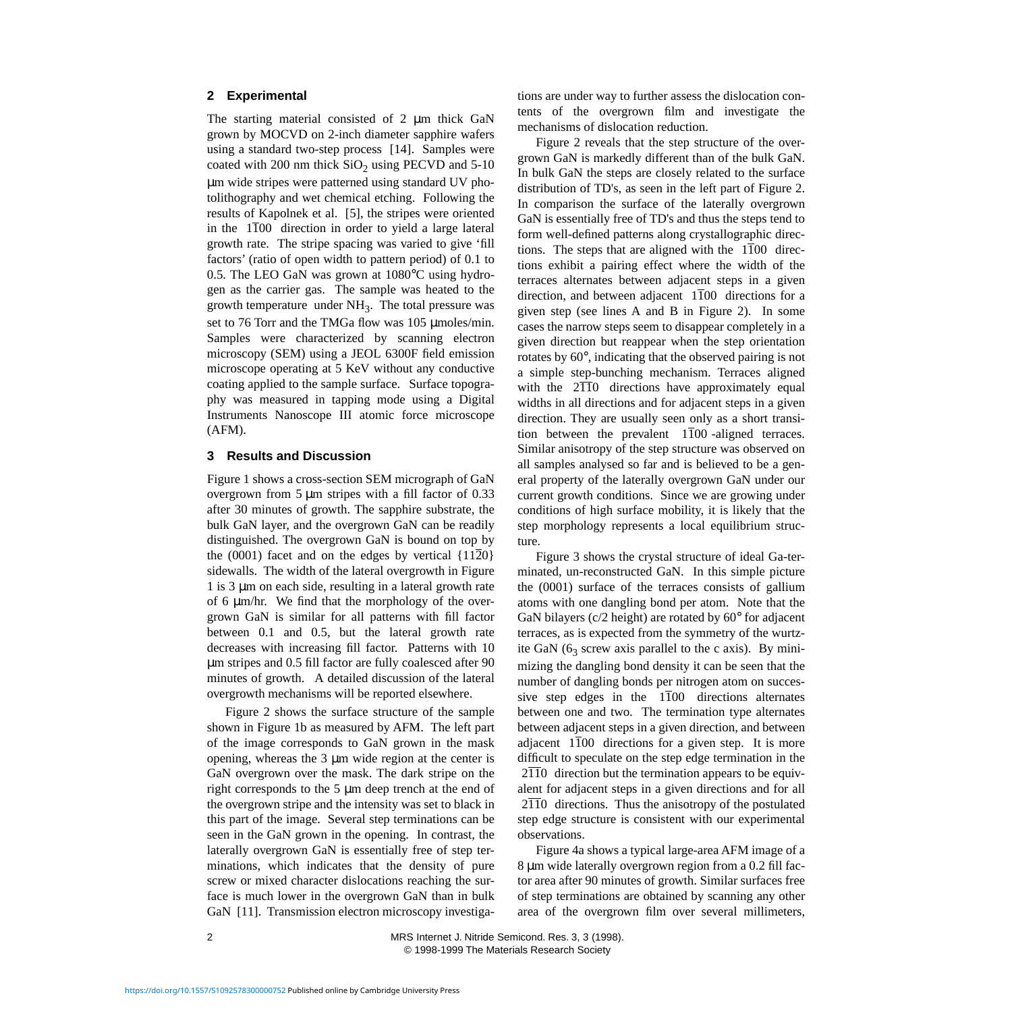#### **2 Experimental**

The starting material consisted of 2  $\mu$ m thick GaN grown by MOCVD on 2-inch diameter sapphire wafers using a standard two-step process [\[14\].](#page-2-13) Samples were coated with 200 nm thick  $SiO<sub>2</sub>$  using PECVD and 5-10 µm wide stripes were patterned using standard UV photolithography and wet chemical etching. Following the results of Kapolnek et al. [\[5\],](#page-2-4) the stripes were oriented in the 〈1100〉 direction in order to yield a large lateral growth rate. The stripe spacing was varied to give 'fill factors' (ratio of open width to pattern period) of 0.1 to 0.5. The LEO GaN was grown at 1080°C using hydrogen as the carrier gas. The sample was heated to the growth temperature under  $NH<sub>3</sub>$ . The total pressure was set to 76 Torr and the TMGa flow was 105 µmoles/min. Samples were characterized by scanning electron microscopy (SEM) using a JEOL 6300F field emission microscope operating at 5 KeV without any conductive coating applied to the sample surface.Surface topography was measured in tapping mode using a Digital Instruments Nanoscope III atomic force microscope (AFM).

#### **3 Results and Discussion**

Figure [1](#page-3-0) shows a cross-section SEM micrograph of GaN overgrown from 5 µm stripes with a fill factor of 0.33 after 30 minutes of growth. The sapphire substrate, the bulk GaN layer, and the overgrown GaN can be readily distinguished. The overgrown GaN is bound on top by the (0001) facet and on the edges by vertical  $\{11\overline{2}0\}$ sidewalls. The width of the lateral overgrowth in Figure [1](#page-3-0) is 3 µm on each side, resulting in a lateral growth rate of 6 µm/hr. We find that the morphology of the overgrown GaN is similar for all patterns with fill factor between 0.1 and 0.5, but the lateral growth rate decreases with increasing fill factor. Patterns with 10 µm stripes and 0.5 fill factor are fully coalesced after 90 minutes of growth.A detailed discussion of the lateral overgrowth mechanisms will be reported elsewhere.

Figure [2](#page-3-0) shows the surface structure of the sample shown in Figure [1](#page-3-0)b as measured by AFM. The left part of the image corresponds to GaN grown in the mask opening, whereas the 3 µm wide region at the center is GaN overgrown over the mask. The dark stripe on the right corresponds to the 5 µm deep trench at the end of the overgrown stripe and the intensity was set to black in this part of the image. Several step terminations can be seen in the GaN grown in the opening. In contrast, the laterally overgrown GaN is essentially free of step terminations, which indicates that the density of pure screw or mixed character dislocations reaching the surface is much lower in the overgrown GaN than in bulk GaN [\[11\]](#page-2-10). Transmission electron microscopy investigations are under way to further assess the dislocation contents of the overgrown film and investigate the mechanisms of dislocation reduction.

Figure [2](#page-3-0) reveals that the step structure of the overgrown GaN is markedly different than of the bulk GaN. In bulk GaN the steps are closely related to the surface distribution of TD's, as seen in the left part of Figure [2](#page-3-0). In comparison the surface of the laterally overgrown GaN is essentially free of TD's and thus the steps tend to form well-defined patterns along crystallographic directions. The steps that are aligned with the  $\langle 1\overline{1}00 \rangle$  directions exhibit a pairing effect where the width of the terraces alternates between adjacent steps in a given direction, and between adjacent  $\langle 1\overline{1}00 \rangle$  directions for a given step (see lines A and B in Figure [2](#page-3-0)). In some cases the narrow steps seem to disappear completely in a given direction but reappear when the step orientation rotates by 60°, indicating that the observed pairing is not a simple step-bunching mechanism. Terraces aligned with the  $\langle 2\overline{11}0 \rangle$  directions have approximately equal widths in all directions and for adjacent steps in a given direction. They are usually seen only as a short transition between the prevalent  $\langle 1\overline{1}00\rangle$ -aligned terraces. Similar anisotropy of the step structure was observed on all samples analysed so far and is believed to be a general property of the laterally overgrown GaN under our current growth conditions. Since we are growing under conditions of high surface mobility, it is likely that the step morphology represents a local equilibrium structure.

Figure [3](#page-3-0) shows the crystal structure of ideal Ga-terminated, un-reconstructed GaN. In this simple picture the (0001) surface of the terraces consists of gallium atoms with one dangling bond per atom. Note that the GaN bilayers (c/2 height) are rotated by 60° for adjacent terraces, as is expected from the symmetry of the wurtzite GaN ( $6<sub>3</sub>$  screw axis parallel to the c axis). By minimizing the dangling bond density it can be seen that the number of dangling bonds per nitrogen atom on successive step edges in the  $\langle 1\overline{1}00 \rangle$  directions alternates between one and two. The termination type alternates between adjacent steps in a given direction, and between adjacent  $\langle 1\overline{1}00 \rangle$  directions for a given step. It is more difficult to speculate on the step edge termination in the  $\langle 2\overline{11}0 \rangle$  direction but the termination appears to be equivalent for adjacent steps in a given directions and for all  $\langle 2\overline{11}0 \rangle$  directions. Thus the anisotropy of the postulated step edge structure is consistent with our experimental observations.

Figure [4a](#page-5-0) shows a typical large-area AFM image of a 8 µm wide laterally overgrown region from a 0.2 fill factor area after 90 minutes of growth. Similar surfaces free of step terminations are obtained by scanning any other area of the overgrown film over several millimeters,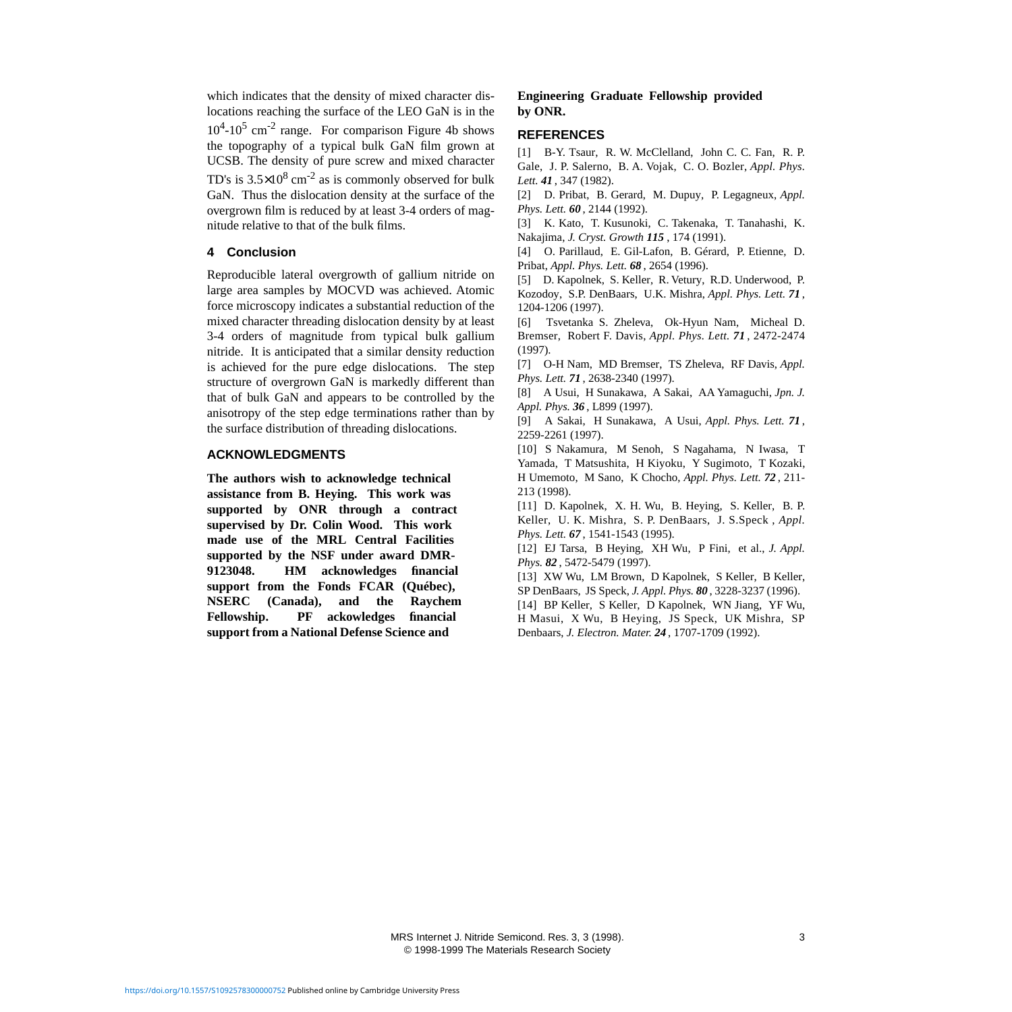which indicates that the density of mixed character dislocations reaching the surface of the LEO GaN is in the  $10^4$ - $10^5$  cm<sup>-2</sup> range. For comparison Figure [4b](#page-5-0) shows the topography of a typical bulk GaN film grown at UCSB. The density of pure screw and mixed character TD's is  $3.5 \times 10^8$  cm<sup>-2</sup> as is commonly observed for bulk GaN. Thus the dislocation density at the surface of the overgrown film is reduced by at least 3-4 orders of magnitude relative to that of the bulk films.

#### **4 Conclusion**

Reproducible lateral overgrowth of gallium nitride on large area samples by MOCVD was achieved. Atomic force microscopy indicates a substantial reduction of the mixed character threading dislocation density by at least 3-4 orders of magnitude from typical bulk gallium nitride. It is anticipated that a similar density reduction is achieved for the pure edge dislocations. The step structure of overgrown GaN is markedly different than that of bulk GaN and appears to be controlled by the anisotropy of the step edge terminations rather than by the surface distribution of threading dislocations.

#### **ACKNOWLEDGMENTS**

**The authors wish to acknowledge technical assistance from B. Heying. This work was supported by ONR through a contract supervised by Dr. Colin Wood. This work made use of the MRL Central Facilities supported by the NSF under award DMR-9123048. HM acknowledges financial support from the Fonds FCAR (Québec), NSERC (Canada), and the Raychem Fellowship. PF ackowledges financial support from a National Defense Science and**

#### **Engineering Graduate Fellowship provided by ONR.**

#### **REFERENCES**

<span id="page-2-0"></span>[1] B-Y. Tsaur, R. W. McClelland, John C. C. Fan, R. P. Gale, J. P. Salerno, B. A. Vojak, C. O. Bozler, *Appl. Phys. Lett. 41* , 347 (1982).

<span id="page-2-1"></span>[2] D. Pribat, B. Gerard, M. Dupuy, P. Legagneux, *Appl. Phys. Lett. 60* , 2144 (1992).

<span id="page-2-2"></span>[3] K. Kato, T. Kusunoki, C. Takenaka, T. Tanahashi, K. Nakajima, *J. Cryst. Growth 115* , 174 (1991).

<span id="page-2-3"></span>[4] O. Parillaud, E. Gil-Lafon, B. Gérard, P. Etienne, D. Pribat, *Appl. Phys. Lett. 68* , 2654 (1996).

<span id="page-2-4"></span>[5] D. Kapolnek, S. Keller, R. Vetury, R.D. Underwood, P. Kozodoy, S.P. DenBaars, U.K. Mishra, *Appl. Phys. Lett. 71* , 1204-1206 (1997).

<span id="page-2-5"></span>[6] Tsvetanka S. Zheleva, Ok-Hyun Nam, Micheal D. Bremser, Robert F. Davis, *Appl. Phys. Lett. 71* , 2472-2474 (1997).

<span id="page-2-6"></span>[7] O-H Nam, MD Bremser, TS Zheleva, RF Davis, *Appl. Phys. Lett. 71* , 2638-2340 (1997).

<span id="page-2-7"></span>[8] A Usui, H Sunakawa, A Sakai, AA Yamaguchi, *Jpn. J. Appl. Phys. 36* , L899 (1997).

<span id="page-2-8"></span>[9] A Sakai, H Sunakawa, A Usui, *Appl. Phys. Lett. 71* , 2259-2261 (1997).

<span id="page-2-9"></span>[10] S Nakamura, M Senoh, S Nagahama, N Iwasa, T Yamada, T Matsushita, H Kiyoku, Y Sugimoto, T Kozaki, H Umemoto, M Sano, K Chocho, *Appl. Phys. Lett. 72* , 211- 213 (1998).

<span id="page-2-10"></span>[11] D. Kapolnek, X. H. Wu, B. Heying, S. Keller, B. P. Keller, U. K. Mishra, S. P. DenBaars, J. S.Speck , *Appl. Phys. Lett. 67* , 1541-1543 (1995).

<span id="page-2-11"></span>[12] EJ Tarsa, B Heying, XH Wu, P Fini, et al., *J. Appl. Phys. 82* , 5472-5479 (1997).

<span id="page-2-12"></span>[13] XW Wu, LM Brown, D Kapolnek, S Keller, B Keller, SP DenBaars, JS Speck, *J. Appl. Phys. 80* , 3228-3237 (1996).

<span id="page-2-13"></span>[14] BP Keller, S Keller, D Kapolnek, WN Jiang, YF Wu, H Masui, X Wu, B Heying, JS Speck, UK Mishra, SP Denbaars, *J. Electron. Mater. 24* , 1707-1709 (1992).

 MRS Internet J. Nitride Semicond. Res. 3, 3 (1998). 3 © 1998-1999 The Materials Research Society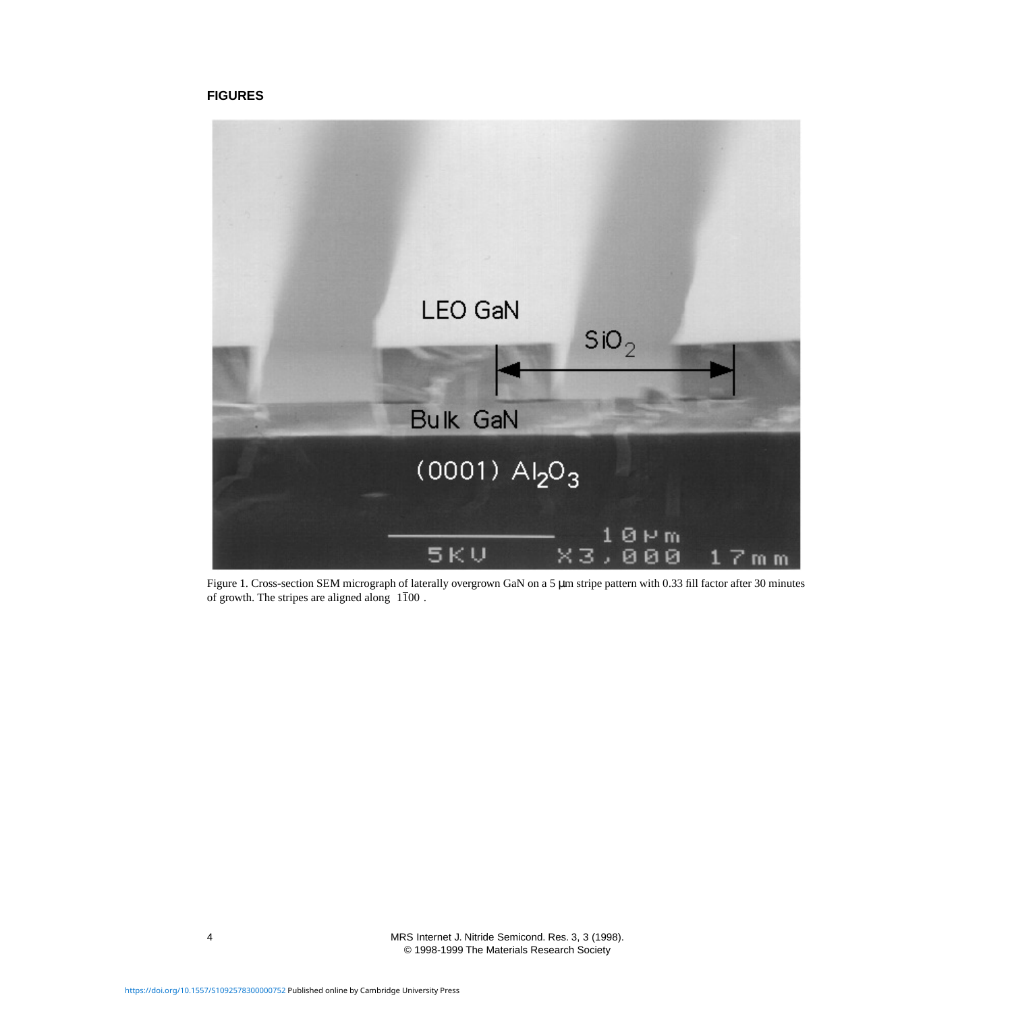### <span id="page-3-0"></span>**FIGURES**



Figure 1. Cross-section SEM micrograph of laterally overgrown GaN on a 5 µm stripe pattern with 0.33 fill factor after 30 minutes of growth. The stripes are aligned along  $\langle 1\overline{1}00\rangle$ .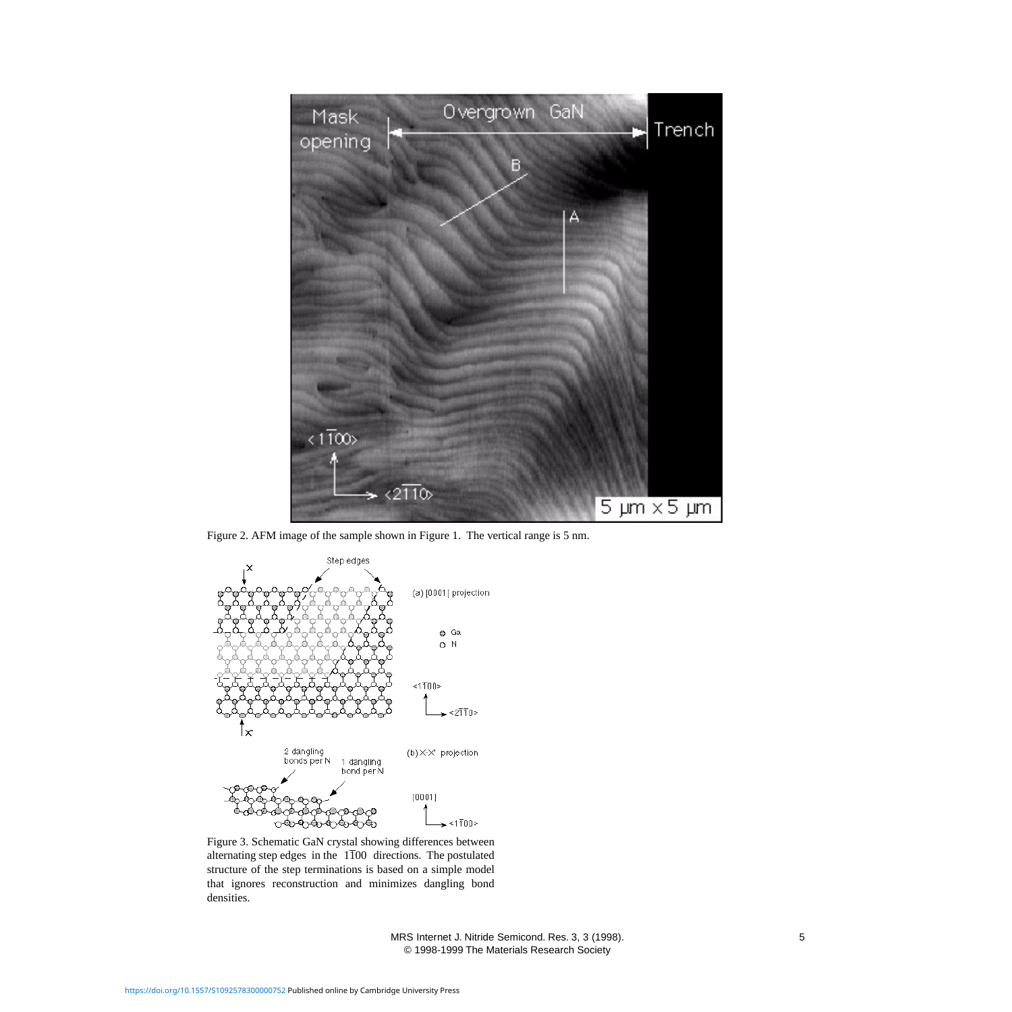

Figure 2. AFM image of the sample shown in Figure [1](#page-3-0). The vertical range is 5 nm.



Figure 3. Schematic GaN crystal showing differences between alternating step edges in the  $\langle 1\overline{1}00 \rangle$  directions. The postulated structure of the step terminations is based on a simple model that ignores reconstruction and minimizes dangling bond densities.

 MRS Internet J. Nitride Semicond. Res. 3, 3 (1998). 5 © 1998-1999 The Materials Research Society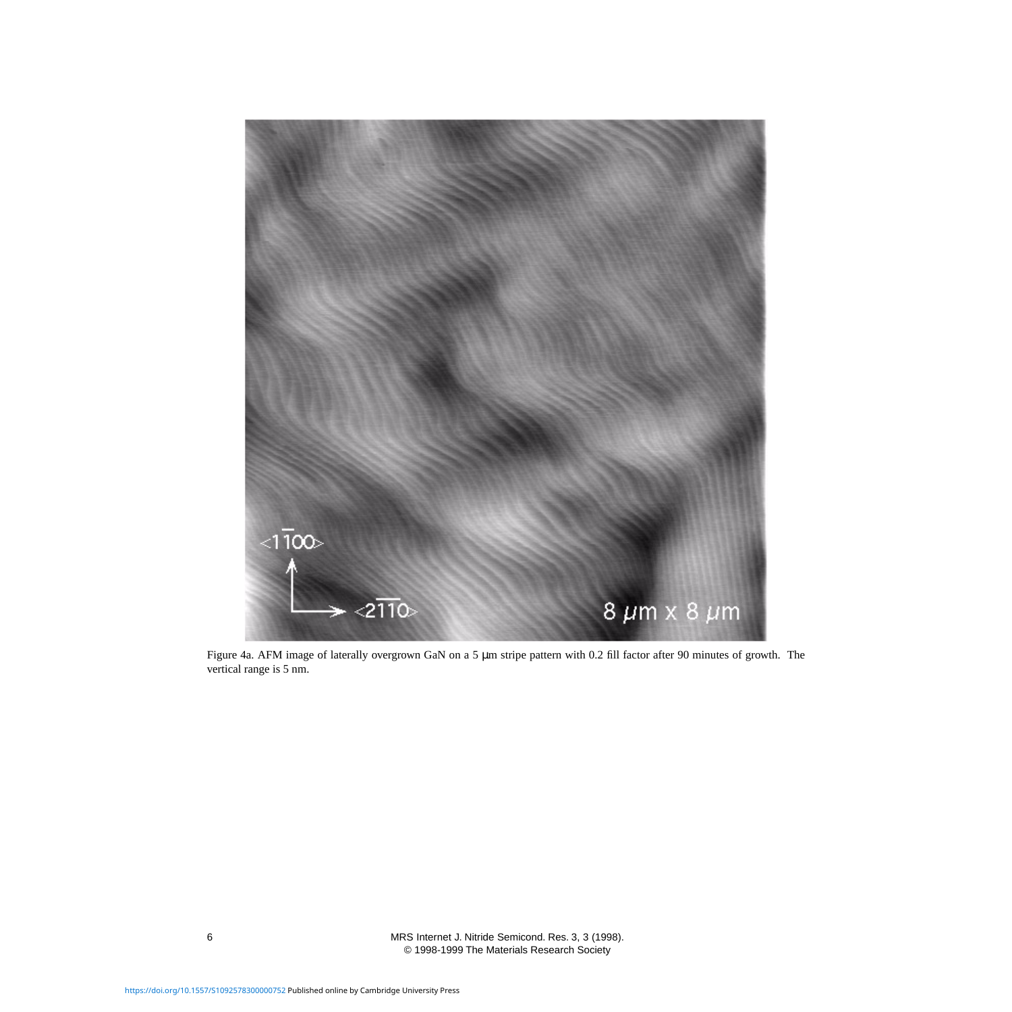<span id="page-5-0"></span>

Figure 4a. AFM image of laterally overgrown GaN on a 5 µm stripe pattern with 0.2 fill factor after 90 minutes of growth. The vertical range is 5 nm.